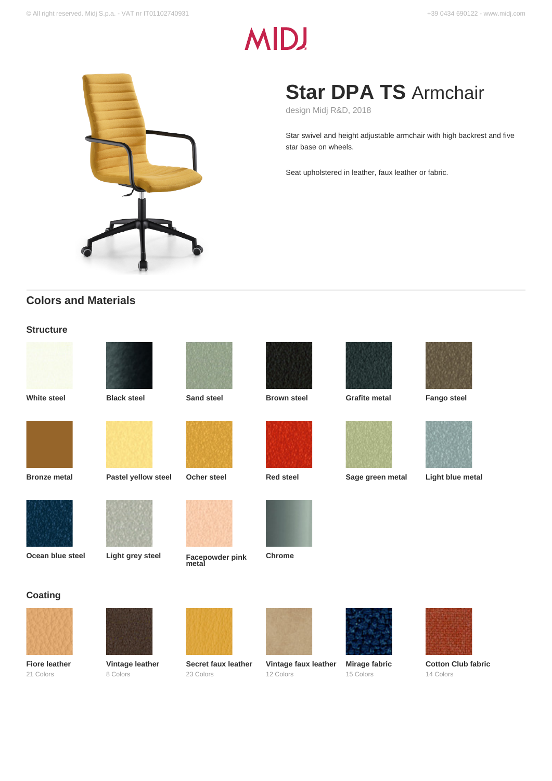# **MID!**



## **Star DPA TS** Armchair

design Midj R&D, 2018

Star swivel and height adjustable armchair with high backrest and five star base on wheels.

Seat upholstered in leather, faux leather or fabric.

## **Colors and Materials**

### **Structure**





















**Coating**

**Fiore leather** 21 Colors







**Ocean blue steel Light grey steel Facepowder pink metal**













**Vintage faux leather Mirage fabric** 15 Colors



**Cotton Club fabric** 14 Colors



**Vintage leather** 8 Colors



**Secret faux leather** 23 Colors



12 Colors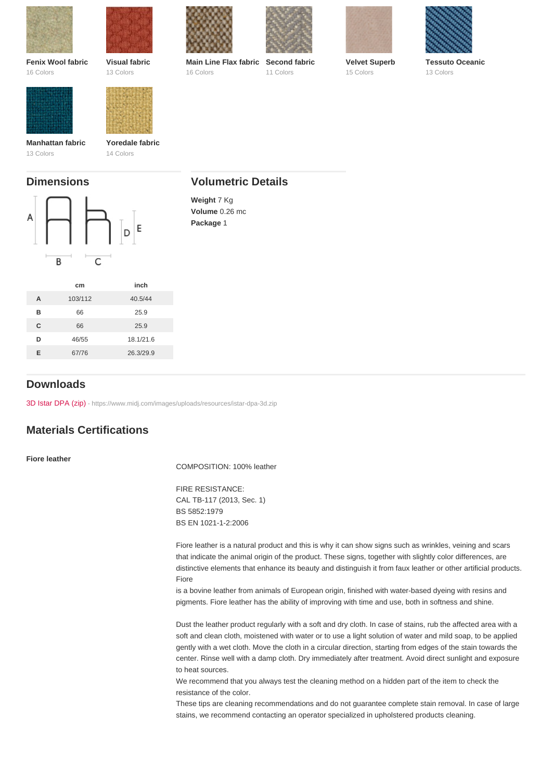| Fenix Wool fabric<br>16 Colors | Visual fabric<br>13 Colors   | Main Line Flax fabric<br>16 Colors         | Second fabric<br>11 Colors | Velvet Superb<br>15 Colors | <b>Tessuto Oceanic</b><br>13 Colors |
|--------------------------------|------------------------------|--------------------------------------------|----------------------------|----------------------------|-------------------------------------|
| Manhattan fabric<br>13 Colors  | Yoredale fabric<br>14 Colors |                                            |                            |                            |                                     |
| <b>Dimensions</b>              |                              | <b>Volumetric Details</b>                  |                            |                            |                                     |
|                                |                              | Weight 7 Kg<br>Volume 0.26 mc<br>Package 1 |                            |                            |                                     |

|   | cm      | inch      |
|---|---------|-----------|
| A | 103/112 | 40.5/44   |
| R | 66      | 25.9      |
| C | 66      | 25.9      |
| D | 46/55   | 18.1/21.6 |
| F | 67/76   | 26.3/29.9 |
|   |         |           |

## Downloads

[3D Istar DPA \(zip\)](https://www.midj.com/images/uploads/resources/istar-dpa-3d.zip) [- https://www.midj.com/images/uploads/resources/istar-dpa-3d.zip](https://www.midj.com/images/uploads/resources/istar-dpa-3d.zip)

## Materials Certifications

Fiore leather

COMPOSITION: 100% leather

FIRE RESISTANCE: CAL TB-117 (2013, Sec. 1) BS 5852:1979 BS EN 1021-1-2:2006

Fiore leather is a natural product and this is why it can show signs such as wrinkles, veining and scars that indicate the animal origin of the product. These signs, together with slightly color differences, are distinctive elements that enhance its beauty and distinguish it from faux leather or other artificial products. Fiore

is a bovine leather from animals of European origin, finished with water-based dyeing with resins and pigments. Fiore leather has the ability of improving with time and use, both in softness and shine.

Dust the leather product regularly with a soft and dry cloth. In case of stains, rub the affected area with a soft and clean cloth, moistened with water or to use a light solution of water and mild soap, to be applied gently with a wet cloth. Move the cloth in a circular direction, starting from edges of the stain towards the center. Rinse well with a damp cloth. Dry immediately after treatment. Avoid direct sunlight and exposure to heat sources.

We recommend that you always test the cleaning method on a hidden part of the item to check the resistance of the color.

These tips are cleaning recommendations and do not guarantee complete stain removal. In case of large stains, we recommend contacting an operator specialized in upholstered products cleaning.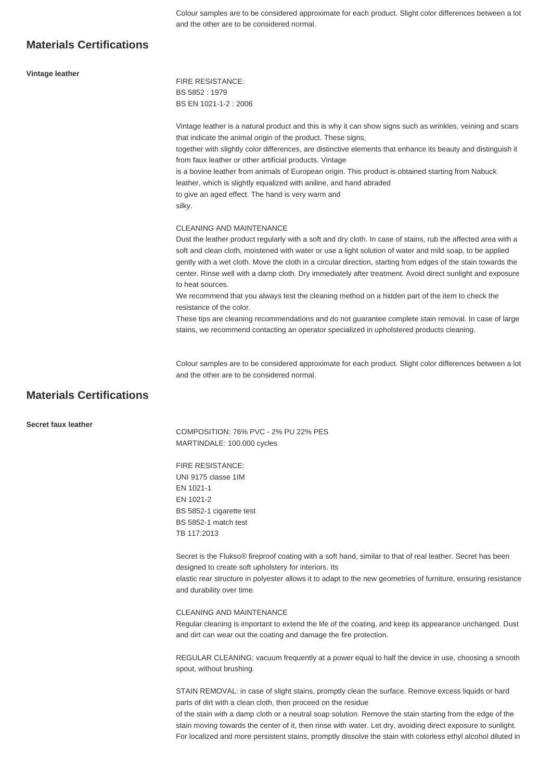Colour samples are to be considered approximate for each product. Slight color differences between a lot and the other are to be considered normal.

## **Materials Certifications**

| Vintage leather                 | <b>FIRE RESISTANCE:</b>                                                                                                                                                                                                                                                                                                                                                                                                                                                     |
|---------------------------------|-----------------------------------------------------------------------------------------------------------------------------------------------------------------------------------------------------------------------------------------------------------------------------------------------------------------------------------------------------------------------------------------------------------------------------------------------------------------------------|
|                                 | BS 5852: 1979                                                                                                                                                                                                                                                                                                                                                                                                                                                               |
|                                 | BS EN 1021-1-2: 2006                                                                                                                                                                                                                                                                                                                                                                                                                                                        |
|                                 | Vintage leather is a natural product and this is why it can show signs such as wrinkles, veining and scars<br>that indicate the animal origin of the product. These signs,                                                                                                                                                                                                                                                                                                  |
|                                 | together with slightly color differences, are distinctive elements that enhance its beauty and distinguish it<br>from faux leather or other artificial products. Vintage                                                                                                                                                                                                                                                                                                    |
|                                 | is a bovine leather from animals of European origin. This product is obtained starting from Nabuck<br>leather, which is slightly equalized with aniline, and hand abraded                                                                                                                                                                                                                                                                                                   |
|                                 | to give an aged effect. The hand is very warm and<br>silky.                                                                                                                                                                                                                                                                                                                                                                                                                 |
|                                 | <b>CLEANING AND MAINTENANCE</b>                                                                                                                                                                                                                                                                                                                                                                                                                                             |
|                                 | Dust the leather product regularly with a soft and dry cloth. In case of stains, rub the affected area with a<br>soft and clean cloth, moistened with water or use a light solution of water and mild soap, to be applied<br>gently with a wet cloth. Move the cloth in a circular direction, starting from edges of the stain towards the<br>center. Rinse well with a damp cloth. Dry immediately after treatment. Avoid direct sunlight and exposure<br>to heat sources. |
|                                 | We recommend that you always test the cleaning method on a hidden part of the item to check the<br>resistance of the color.                                                                                                                                                                                                                                                                                                                                                 |
|                                 | These tips are cleaning recommendations and do not guarantee complete stain removal. In case of large<br>stains, we recommend contacting an operator specialized in upholstered products cleaning.                                                                                                                                                                                                                                                                          |
|                                 |                                                                                                                                                                                                                                                                                                                                                                                                                                                                             |
|                                 | Colour samples are to be considered approximate for each product. Slight color differences between a lot<br>and the other are to be considered normal.                                                                                                                                                                                                                                                                                                                      |
| <b>Materials Certifications</b> |                                                                                                                                                                                                                                                                                                                                                                                                                                                                             |

**Secret faux leather**

COMPOSITION: 76% PVC - 2% PU 22% PES MARTINDALE: 100.000 cycles

FIRE RESISTANCE: UNI 9175 classe 1IM EN 1021-1 EN 1021-2 BS 5852-1 cigarette test BS 5852-1 match test TB 117:2013

Secret is the Flukso® fireproof coating with a soft hand, similar to that of real leather. Secret has been designed to create soft upholstery for interiors. Its

elastic rear structure in polyester allows it to adapt to the new geometries of furniture, ensuring resistance and durability over time.

#### CLEANING AND MAINTENANCE

Regular cleaning is important to extend the life of the coating, and keep its appearance unchanged. Dust and dirt can wear out the coating and damage the fire protection.

REGULAR CLEANING: vacuum frequently at a power equal to half the device in use, choosing a smooth spout, without brushing.

STAIN REMOVAL: in case of slight stains, promptly clean the surface. Remove excess liquids or hard parts of dirt with a clean cloth, then proceed on the residue

of the stain with a damp cloth or a neutral soap solution. Remove the stain starting from the edge of the stain moving towards the center of it, then rinse with water. Let dry, avoiding direct exposure to sunlight. For localized and more persistent stains, promptly dissolve the stain with colorless ethyl alcohol diluted in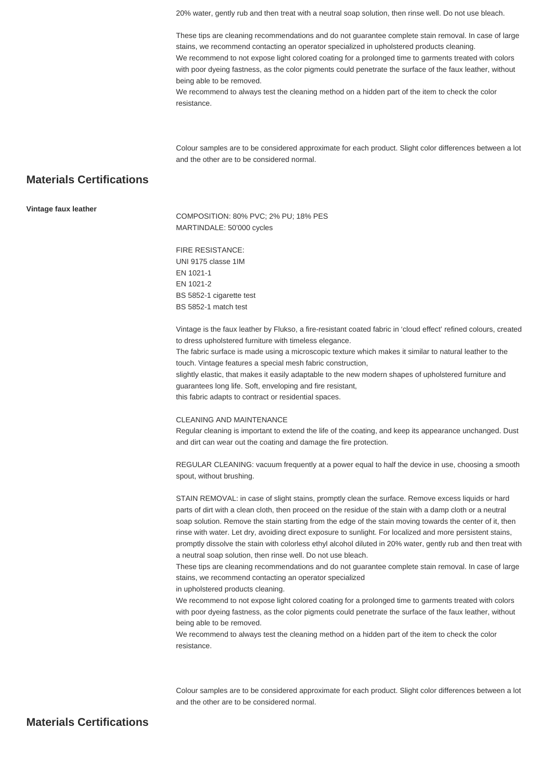20% water, gently rub and then treat with a neutral soap solution, then rinse well. Do not use bleach.

These tips are cleaning recommendations and do not guarantee complete stain removal. In case of large stains, we recommend contacting an operator specialized in upholstered products cleaning. We recommend to not expose light colored coating for a prolonged time to garments treated with colors with poor dyeing fastness, as the color pigments could penetrate the surface of the faux leather, without

being able to be removed. We recommend to always test the cleaning method on a hidden part of the item to check the color

resistance.

Colour samples are to be considered approximate for each product. Slight color differences between a lot and the other are to be considered normal.

## **Materials Certifications**

#### **Vintage faux leather**

COMPOSITION: 80% PVC; 2% PU; 18% PES MARTINDALE: 50'000 cycles

FIRE RESISTANCE: UNI 9175 classe 1IM EN 1021-1 EN 1021-2 BS 5852-1 cigarette test BS 5852-1 match test

Vintage is the faux leather by Flukso, a fire-resistant coated fabric in 'cloud effect' refined colours, created to dress upholstered furniture with timeless elegance.

The fabric surface is made using a microscopic texture which makes it similar to natural leather to the touch. Vintage features a special mesh fabric construction,

slightly elastic, that makes it easily adaptable to the new modern shapes of upholstered furniture and guarantees long life. Soft, enveloping and fire resistant,

this fabric adapts to contract or residential spaces.

#### CLEANING AND MAINTENANCE

Regular cleaning is important to extend the life of the coating, and keep its appearance unchanged. Dust and dirt can wear out the coating and damage the fire protection.

REGULAR CLEANING: vacuum frequently at a power equal to half the device in use, choosing a smooth spout, without brushing.

STAIN REMOVAL: in case of slight stains, promptly clean the surface. Remove excess liquids or hard parts of dirt with a clean cloth, then proceed on the residue of the stain with a damp cloth or a neutral soap solution. Remove the stain starting from the edge of the stain moving towards the center of it, then rinse with water. Let dry, avoiding direct exposure to sunlight. For localized and more persistent stains, promptly dissolve the stain with colorless ethyl alcohol diluted in 20% water, gently rub and then treat with a neutral soap solution, then rinse well. Do not use bleach.

These tips are cleaning recommendations and do not guarantee complete stain removal. In case of large stains, we recommend contacting an operator specialized

in upholstered products cleaning.

We recommend to not expose light colored coating for a prolonged time to garments treated with colors with poor dyeing fastness, as the color pigments could penetrate the surface of the faux leather, without being able to be removed.

We recommend to always test the cleaning method on a hidden part of the item to check the color resistance.

Colour samples are to be considered approximate for each product. Slight color differences between a lot and the other are to be considered normal.

## **Materials Certifications**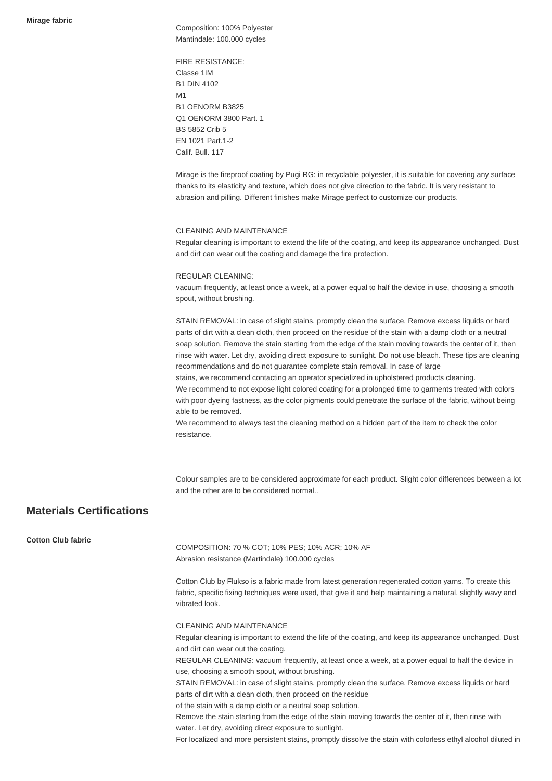Composition: 100% Polyester Mantindale: 100.000 cycles

FIRE RESISTANCE: Classe 1IM B1 DIN 4102 **M1** B1 OENORM B3825 Q1 OENORM 3800 Part. 1 BS 5852 Crib 5 EN 1021 Part.1-2 Calif. Bull. 117

Mirage is the fireproof coating by Pugi RG: in recyclable polyester, it is suitable for covering any surface thanks to its elasticity and texture, which does not give direction to the fabric. It is very resistant to abrasion and pilling. Different finishes make Mirage perfect to customize our products.

#### CLEANING AND MAINTENANCE

Regular cleaning is important to extend the life of the coating, and keep its appearance unchanged. Dust and dirt can wear out the coating and damage the fire protection.

#### REGULAR CLEANING:

vacuum frequently, at least once a week, at a power equal to half the device in use, choosing a smooth spout, without brushing.

STAIN REMOVAL: in case of slight stains, promptly clean the surface. Remove excess liquids or hard parts of dirt with a clean cloth, then proceed on the residue of the stain with a damp cloth or a neutral soap solution. Remove the stain starting from the edge of the stain moving towards the center of it, then rinse with water. Let dry, avoiding direct exposure to sunlight. Do not use bleach. These tips are cleaning recommendations and do not guarantee complete stain removal. In case of large stains, we recommend contacting an operator specialized in upholstered products cleaning.

We recommend to not expose light colored coating for a prolonged time to garments treated with colors with poor dyeing fastness, as the color pigments could penetrate the surface of the fabric, without being able to be removed.

We recommend to always test the cleaning method on a hidden part of the item to check the color resistance.

Colour samples are to be considered approximate for each product. Slight color differences between a lot and the other are to be considered normal..

## **Materials Certifications**

**Cotton Club fabric**

COMPOSITION: 70 % COT; 10% PES; 10% ACR; 10% AF Abrasion resistance (Martindale) 100.000 cycles

Cotton Club by Flukso is a fabric made from latest generation regenerated cotton yarns. To create this fabric, specific fixing techniques were used, that give it and help maintaining a natural, slightly wavy and vibrated look.

#### CLEANING AND MAINTENANCE

Regular cleaning is important to extend the life of the coating, and keep its appearance unchanged. Dust and dirt can wear out the coating.

REGULAR CLEANING: vacuum frequently, at least once a week, at a power equal to half the device in use, choosing a smooth spout, without brushing.

STAIN REMOVAL: in case of slight stains, promptly clean the surface. Remove excess liquids or hard parts of dirt with a clean cloth, then proceed on the residue

of the stain with a damp cloth or a neutral soap solution.

Remove the stain starting from the edge of the stain moving towards the center of it, then rinse with water. Let dry, avoiding direct exposure to sunlight.

For localized and more persistent stains, promptly dissolve the stain with colorless ethyl alcohol diluted in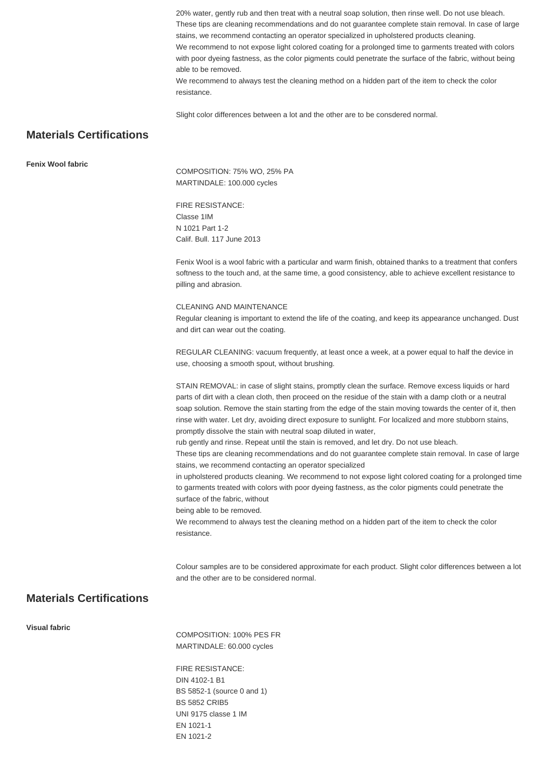20% water, gently rub and then treat with a neutral soap solution, then rinse well. Do not use bleach. These tips are cleaning recommendations and do not guarantee complete stain removal. In case of large stains, we recommend contacting an operator specialized in upholstered products cleaning. We recommend to not expose light colored coating for a prolonged time to garments treated with colors with poor dyeing fastness, as the color pigments could penetrate the surface of the fabric, without being able to be removed. We recommend to always test the cleaning method on a hidden part of the item to check the color resistance.

Slight color differences between a lot and the other are to be consdered normal.

## **Materials Certifications**

**Fenix Wool fabric**

COMPOSITION: 75% WO, 25% PA MARTINDALE: 100.000 cycles

FIRE RESISTANCE: Classe 1IM N 1021 Part 1-2 Calif. Bull. 117 June 2013

Fenix Wool is a wool fabric with a particular and warm finish, obtained thanks to a treatment that confers softness to the touch and, at the same time, a good consistency, able to achieve excellent resistance to pilling and abrasion.

#### CLEANING AND MAINTENANCE

Regular cleaning is important to extend the life of the coating, and keep its appearance unchanged. Dust and dirt can wear out the coating.

REGULAR CLEANING: vacuum frequently, at least once a week, at a power equal to half the device in use, choosing a smooth spout, without brushing.

STAIN REMOVAL: in case of slight stains, promptly clean the surface. Remove excess liquids or hard parts of dirt with a clean cloth, then proceed on the residue of the stain with a damp cloth or a neutral soap solution. Remove the stain starting from the edge of the stain moving towards the center of it, then rinse with water. Let dry, avoiding direct exposure to sunlight. For localized and more stubborn stains, promptly dissolve the stain with neutral soap diluted in water,

rub gently and rinse. Repeat until the stain is removed, and let dry. Do not use bleach.

These tips are cleaning recommendations and do not guarantee complete stain removal. In case of large stains, we recommend contacting an operator specialized

in upholstered products cleaning. We recommend to not expose light colored coating for a prolonged time to garments treated with colors with poor dyeing fastness, as the color pigments could penetrate the surface of the fabric, without

being able to be removed.

We recommend to always test the cleaning method on a hidden part of the item to check the color resistance.

Colour samples are to be considered approximate for each product. Slight color differences between a lot and the other are to be considered normal.

## **Materials Certifications**

**Visual fabric**

COMPOSITION: 100% PES FR MARTINDALE: 60.000 cycles

FIRE RESISTANCE: DIN 4102-1 B1 BS 5852-1 (source 0 and 1) BS 5852 CRIB5 UNI 9175 classe 1 IM EN 1021-1 EN 1021-2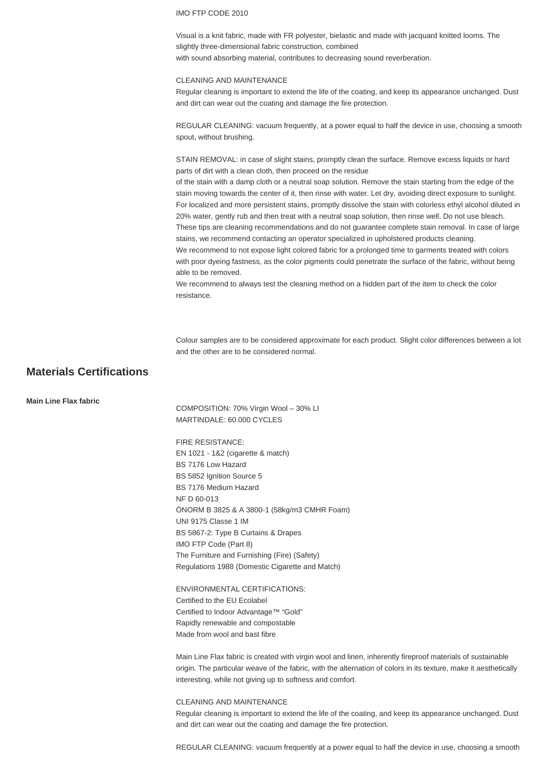#### IMO FTP CODE 2010

Visual is a knit fabric, made with FR polyester, bielastic and made with jacquard knitted looms. The slightly three-dimensional fabric construction, combined with sound absorbing material, contributes to decreasing sound reverberation.

#### CLEANING AND MAINTENANCE

Regular cleaning is important to extend the life of the coating, and keep its appearance unchanged. Dust and dirt can wear out the coating and damage the fire protection.

REGULAR CLEANING: vacuum frequently, at a power equal to half the device in use, choosing a smooth spout, without brushing.

STAIN REMOVAL: in case of slight stains, promptly clean the surface. Remove excess liquids or hard parts of dirt with a clean cloth, then proceed on the residue

of the stain with a damp cloth or a neutral soap solution. Remove the stain starting from the edge of the stain moving towards the center of it, then rinse with water. Let dry, avoiding direct exposure to sunlight. For localized and more persistent stains, promptly dissolve the stain with colorless ethyl alcohol diluted in 20% water, gently rub and then treat with a neutral soap solution, then rinse well. Do not use bleach. These tips are cleaning recommendations and do not guarantee complete stain removal. In case of large stains, we recommend contacting an operator specialized in upholstered products cleaning.

We recommend to not expose light colored fabric for a prolonged time to garments treated with colors with poor dyeing fastness, as the color pigments could penetrate the surface of the fabric, without being able to be removed.

We recommend to always test the cleaning method on a hidden part of the item to check the color resistance.

Colour samples are to be considered approximate for each product. Slight color differences between a lot and the other are to be considered normal.

## **Materials Certifications**

**Main Line Flax fabric**

COMPOSITION: 70% Virgin Wool – 30% LI MARTINDALE: 60.000 CYCLES

FIRE RESISTANCE: EN 1021 - 1&2 (cigarette & match) BS 7176 Low Hazard BS 5852 Ignition Source 5 BS 7176 Medium Hazard NF D 60-013 ÖNORM B 3825 & A 3800-1 (58kg/m3 CMHR Foam) UNI 9175 Classe 1 IM BS 5867-2: Type B Curtains & Drapes IMO FTP Code (Part 8) The Furniture and Furnishing (Fire) (Safety) Regulations 1988 (Domestic Cigarette and Match)

ENVIRONMENTAL CERTIFICATIONS: Certified to the EU Ecolabel Certified to Indoor Advantage™ "Gold" Rapidly renewable and compostable Made from wool and bast fibre

Main Line Flax fabric is created with virgin wool and linen, inherently fireproof materials of sustainable origin. The particular weave of the fabric, with the alternation of colors in its texture, make it aesthetically interesting, while not giving up to softness and comfort.

#### CLEANING AND MAINTENANCE

Regular cleaning is important to extend the life of the coating, and keep its appearance unchanged. Dust and dirt can wear out the coating and damage the fire protection.

REGULAR CLEANING: vacuum frequently at a power equal to half the device in use, choosing a smooth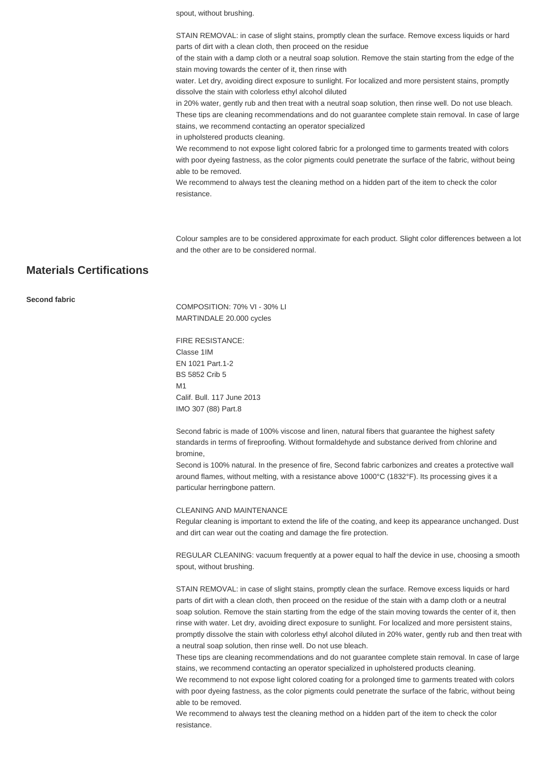spout, without brushing.

STAIN REMOVAL: in case of slight stains, promptly clean the surface. Remove excess liquids or hard parts of dirt with a clean cloth, then proceed on the residue

of the stain with a damp cloth or a neutral soap solution. Remove the stain starting from the edge of the stain moving towards the center of it, then rinse with

water. Let dry, avoiding direct exposure to sunlight. For localized and more persistent stains, promptly dissolve the stain with colorless ethyl alcohol diluted

in 20% water, gently rub and then treat with a neutral soap solution, then rinse well. Do not use bleach. These tips are cleaning recommendations and do not guarantee complete stain removal. In case of large stains, we recommend contacting an operator specialized

in upholstered products cleaning.

We recommend to not expose light colored fabric for a prolonged time to garments treated with colors with poor dyeing fastness, as the color pigments could penetrate the surface of the fabric, without being able to be removed.

We recommend to always test the cleaning method on a hidden part of the item to check the color resistance.

Colour samples are to be considered approximate for each product. Slight color differences between a lot and the other are to be considered normal.

## **Materials Certifications**

#### **Second fabric**

COMPOSITION: 70% VI - 30% LI MARTINDALE 20.000 cycles

FIRE RESISTANCE: Classe 1IM EN 1021 Part.1-2 BS 5852 Crib 5 M1 Calif. Bull. 117 June 2013 IMO 307 (88) Part.8

Second fabric is made of 100% viscose and linen, natural fibers that guarantee the highest safety standards in terms of fireproofing. Without formaldehyde and substance derived from chlorine and bromine,

Second is 100% natural. In the presence of fire, Second fabric carbonizes and creates a protective wall around flames, without melting, with a resistance above 1000°C (1832°F). Its processing gives it a particular herringbone pattern.

#### CLEANING AND MAINTENANCE

Regular cleaning is important to extend the life of the coating, and keep its appearance unchanged. Dust and dirt can wear out the coating and damage the fire protection.

REGULAR CLEANING: vacuum frequently at a power equal to half the device in use, choosing a smooth spout, without brushing.

STAIN REMOVAL: in case of slight stains, promptly clean the surface. Remove excess liquids or hard parts of dirt with a clean cloth, then proceed on the residue of the stain with a damp cloth or a neutral soap solution. Remove the stain starting from the edge of the stain moving towards the center of it, then rinse with water. Let dry, avoiding direct exposure to sunlight. For localized and more persistent stains, promptly dissolve the stain with colorless ethyl alcohol diluted in 20% water, gently rub and then treat with a neutral soap solution, then rinse well. Do not use bleach.

These tips are cleaning recommendations and do not guarantee complete stain removal. In case of large stains, we recommend contacting an operator specialized in upholstered products cleaning.

We recommend to not expose light colored coating for a prolonged time to garments treated with colors with poor dyeing fastness, as the color pigments could penetrate the surface of the fabric, without being able to be removed.

We recommend to always test the cleaning method on a hidden part of the item to check the color resistance.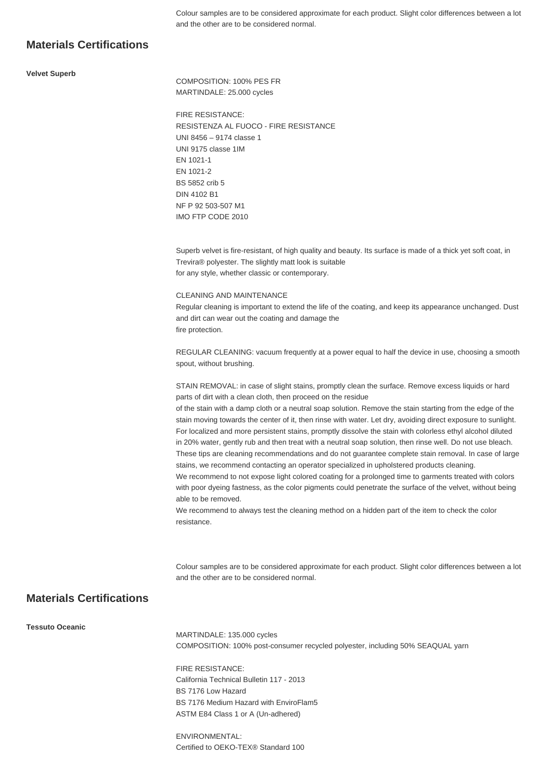Colour samples are to be considered approximate for each product. Slight color differences between a lot and the other are to be considered normal.

## **Materials Certifications**

#### **Velvet Superb**

COMPOSITION: 100% PES FR MARTINDALE: 25.000 cycles

FIRE RESISTANCE: RESISTENZA AL FUOCO - FIRE RESISTANCE UNI 8456 – 9174 classe 1 UNI 9175 classe 1IM EN 1021-1 EN 1021-2 BS 5852 crib 5 DIN 4102 B1 NF P 92 503-507 M1 IMO FTP CODE 2010

Superb velvet is fire-resistant, of high quality and beauty. Its surface is made of a thick yet soft coat, in Trevira® polyester. The slightly matt look is suitable for any style, whether classic or contemporary.

CLEANING AND MAINTENANCE

Regular cleaning is important to extend the life of the coating, and keep its appearance unchanged. Dust and dirt can wear out the coating and damage the fire protection.

REGULAR CLEANING: vacuum frequently at a power equal to half the device in use, choosing a smooth spout, without brushing.

STAIN REMOVAL: in case of slight stains, promptly clean the surface. Remove excess liquids or hard parts of dirt with a clean cloth, then proceed on the residue

of the stain with a damp cloth or a neutral soap solution. Remove the stain starting from the edge of the stain moving towards the center of it, then rinse with water. Let dry, avoiding direct exposure to sunlight. For localized and more persistent stains, promptly dissolve the stain with colorless ethyl alcohol diluted in 20% water, gently rub and then treat with a neutral soap solution, then rinse well. Do not use bleach. These tips are cleaning recommendations and do not guarantee complete stain removal. In case of large stains, we recommend contacting an operator specialized in upholstered products cleaning.

We recommend to not expose light colored coating for a prolonged time to garments treated with colors with poor dyeing fastness, as the color pigments could penetrate the surface of the velvet, without being able to be removed.

We recommend to always test the cleaning method on a hidden part of the item to check the color resistance.

Colour samples are to be considered approximate for each product. Slight color differences between a lot and the other are to be considered normal.

## **Materials Certifications**

**Tessuto Oceanic**

MARTINDALE: 135.000 cycles COMPOSITION: 100% post-consumer recycled polyester, including 50% SEAQUAL yarn

FIRE RESISTANCE: California Technical Bulletin 117 - 2013 BS 7176 Low Hazard BS 7176 Medium Hazard with EnviroFlam5 ASTM E84 Class 1 or A (Un-adhered)

ENVIRONMENTAL: Certified to OEKO-TEX® Standard 100